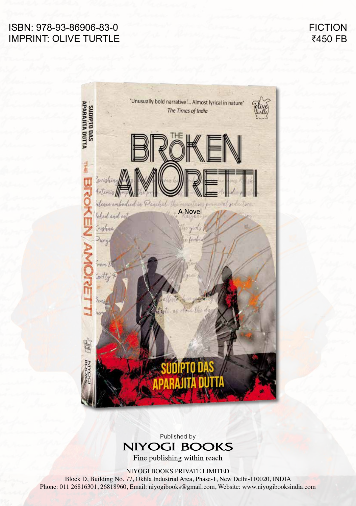## ISBN: 978-93-86906-83-0 IMPRINT: OLIVE TURTLE

**FICTION** ₹450 FB



Published by **NIYOGI BOOKS** 

Fine publishing within reach

NIYOGI BOOKS PRIVATE LIMITED

Block D, Building No. 77, Okhla Industrial Area, Phase-1, New Delhi-110020, INDIA Phone: 011 26816301, 26818960, Email: niyogibooks@gmail.com, Website: www.niyogibooksindia.com